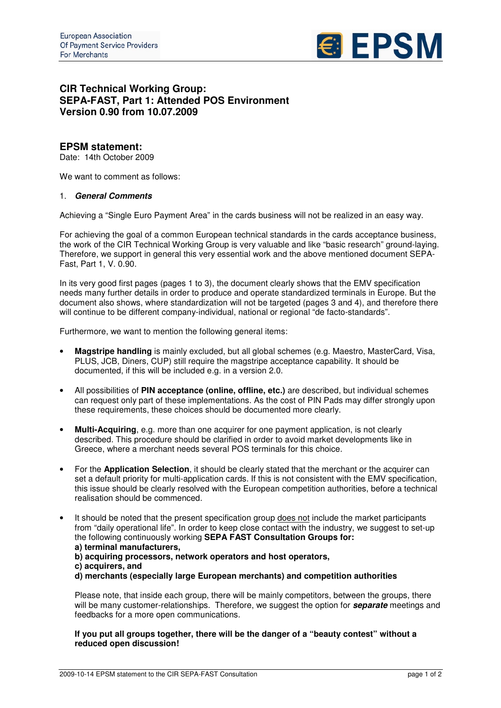

# **CIR Technical Working Group: SEPA-FAST, Part 1: Attended POS Environment Version 0.90 from 10.07.2009**

## **EPSM statement:**

Date: 14th October 2009

We want to comment as follows:

#### 1. *General Comments*

Achieving a "Single Euro Payment Area" in the cards business will not be realized in an easy way.

For achieving the goal of a common European technical standards in the cards acceptance business, the work of the CIR Technical Working Group is very valuable and like "basic research" ground-laying. Therefore, we support in general this very essential work and the above mentioned document SEPA-Fast, Part 1, V. 0.90.

In its very good first pages (pages 1 to 3), the document clearly shows that the EMV specification needs many further details in order to produce and operate standardized terminals in Europe. But the document also shows, where standardization will not be targeted (pages 3 and 4), and therefore there will continue to be different company-individual, national or regional "de facto-standards".

Furthermore, we want to mention the following general items:

- **Magstripe handling** is mainly excluded, but all global schemes (e.g. Maestro, MasterCard, Visa, PLUS, JCB, Diners, CUP) still require the magstripe acceptance capability. It should be documented, if this will be included e.g. in a version 2.0.
- All possibilities of **PIN acceptance (online, offline, etc.)** are described, but individual schemes can request only part of these implementations. As the cost of PIN Pads may differ strongly upon these requirements, these choices should be documented more clearly.
- **Multi-Acquiring**, e.g. more than one acquirer for one payment application, is not clearly described. This procedure should be clarified in order to avoid market developments like in Greece, where a merchant needs several POS terminals for this choice.
- For the **Application Selection**, it should be clearly stated that the merchant or the acquirer can set a default priority for multi-application cards. If this is not consistent with the EMV specification, this issue should be clearly resolved with the European competition authorities, before a technical realisation should be commenced.

It should be noted that the present specification group does not include the market participants from "daily operational life". In order to keep close contact with the industry, we suggest to set-up the following continuously working **SEPA FAST Consultation Groups for: a) terminal manufacturers, b) acquiring processors, network operators and host operators, c) acquirers, and d) merchants (especially large European merchants) and competition authorities**

Please note, that inside each group, there will be mainly competitors, between the groups, there will be many customer-relationships. Therefore, we suggest the option for *separate* meetings and feedbacks for a more open communications.

**If you put all groups together, there will be the danger of a "beauty contest" without a reduced open discussion!**